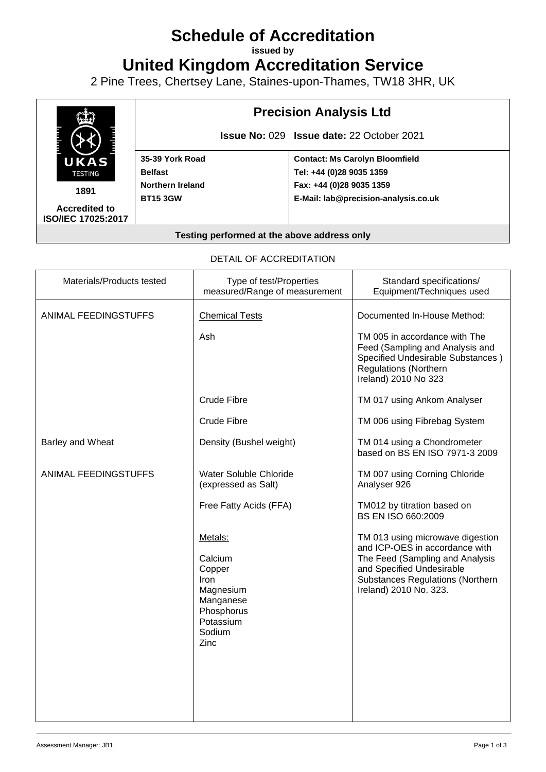# **Schedule of Accreditation**

**issued by**

**United Kingdom Accreditation Service**

2 Pine Trees, Chertsey Lane, Staines-upon-Thames, TW18 3HR, UK



#### DETAIL OF ACCREDITATION

| Materials/Products tested | Type of test/Properties<br>measured/Range of measurement                                                           | Standard specifications/<br>Equipment/Techniques used                                                                                                                                            |
|---------------------------|--------------------------------------------------------------------------------------------------------------------|--------------------------------------------------------------------------------------------------------------------------------------------------------------------------------------------------|
| ANIMAL FEEDINGSTUFFS      | <b>Chemical Tests</b>                                                                                              | Documented In-House Method:                                                                                                                                                                      |
|                           | Ash                                                                                                                | TM 005 in accordance with The<br>Feed (Sampling and Analysis and<br>Specified Undesirable Substances)<br><b>Regulations (Northern</b><br>Ireland) 2010 No 323                                    |
|                           | Crude Fibre                                                                                                        | TM 017 using Ankom Analyser                                                                                                                                                                      |
|                           | Crude Fibre                                                                                                        | TM 006 using Fibrebag System                                                                                                                                                                     |
| Barley and Wheat          | Density (Bushel weight)                                                                                            | TM 014 using a Chondrometer<br>based on BS EN ISO 7971-3 2009                                                                                                                                    |
| ANIMAL FEEDINGSTUFFS      | Water Soluble Chloride<br>(expressed as Salt)                                                                      | TM 007 using Corning Chloride<br>Analyser 926                                                                                                                                                    |
|                           | Free Fatty Acids (FFA)                                                                                             | TM012 by titration based on<br>BS EN ISO 660:2009                                                                                                                                                |
|                           | Metals:<br>Calcium<br>Copper<br><b>Iron</b><br>Magnesium<br>Manganese<br>Phosphorus<br>Potassium<br>Sodium<br>Zinc | TM 013 using microwave digestion<br>and ICP-OES in accordance with<br>The Feed (Sampling and Analysis<br>and Specified Undesirable<br>Substances Regulations (Northern<br>Ireland) 2010 No. 323. |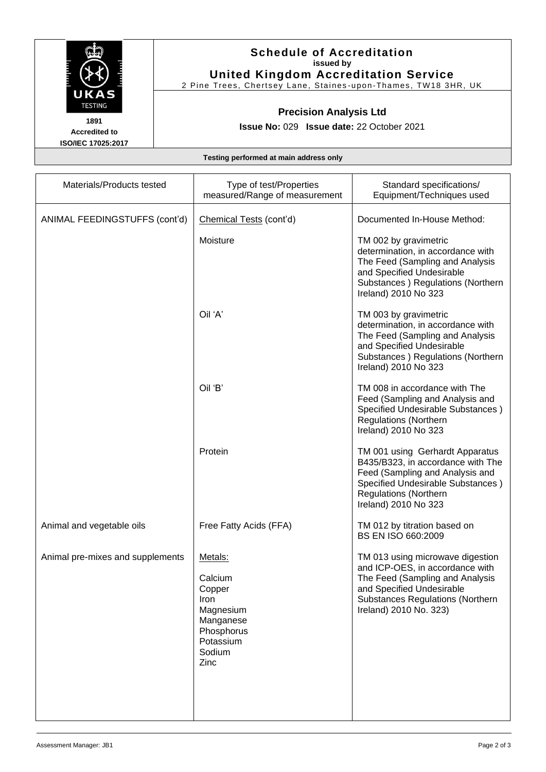

**Accredited to ISO/IEC 17025:2017**

### **Schedule of Accreditation issued by United Kingdom Accreditation Service**

2 Pine Trees, Chertsey Lane, Staines -upon-Thames, TW18 3HR, UK

## **Precision Analysis Ltd**

**Issue No:** 029 **Issue date:** 22 October 2021

**Testing performed at main address only**

| Materials/Products tested        | Type of test/Properties<br>measured/Range of measurement                                                    | Standard specifications/<br>Equipment/Techniques used                                                                                                                                                    |
|----------------------------------|-------------------------------------------------------------------------------------------------------------|----------------------------------------------------------------------------------------------------------------------------------------------------------------------------------------------------------|
| ANIMAL FEEDINGSTUFFS (cont'd)    | Chemical Tests (cont'd)                                                                                     | Documented In-House Method:                                                                                                                                                                              |
|                                  | Moisture                                                                                                    | TM 002 by gravimetric<br>determination, in accordance with<br>The Feed (Sampling and Analysis<br>and Specified Undesirable<br>Substances ) Regulations (Northern<br>Ireland) 2010 No 323                 |
|                                  | Oil 'A'                                                                                                     | TM 003 by gravimetric<br>determination, in accordance with<br>The Feed (Sampling and Analysis<br>and Specified Undesirable<br>Substances ) Regulations (Northern<br>Ireland) 2010 No 323                 |
|                                  | Oil 'B'                                                                                                     | TM 008 in accordance with The<br>Feed (Sampling and Analysis and<br>Specified Undesirable Substances)<br><b>Regulations (Northern</b><br>Ireland) 2010 No 323                                            |
|                                  | Protein                                                                                                     | TM 001 using Gerhardt Apparatus<br>B435/B323, in accordance with The<br>Feed (Sampling and Analysis and<br>Specified Undesirable Substances)<br><b>Regulations (Northern</b><br>Ireland) 2010 No 323     |
| Animal and vegetable oils        | Free Fatty Acids (FFA)                                                                                      | TM 012 by titration based on<br>BS EN ISO 660:2009                                                                                                                                                       |
| Animal pre-mixes and supplements | Metals:<br>Calcium<br>Copper<br>Iron<br>Magnesium<br>Manganese<br>Phosphorus<br>Potassium<br>Sodium<br>Zinc | TM 013 using microwave digestion<br>and ICP-OES, in accordance with<br>The Feed (Sampling and Analysis<br>and Specified Undesirable<br><b>Substances Regulations (Northern</b><br>Ireland) 2010 No. 323) |